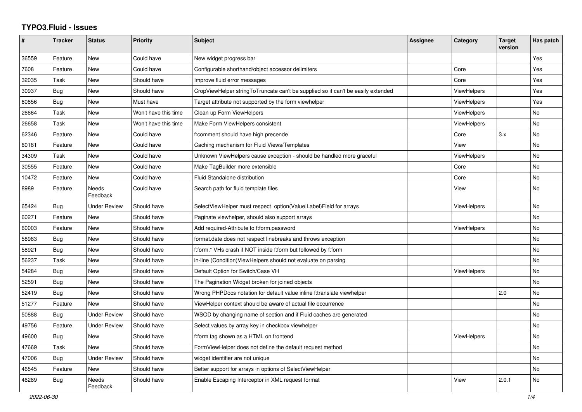## **TYPO3.Fluid - Issues**

| #     | <b>Tracker</b> | <b>Status</b>            | <b>Priority</b>      | Subject                                                                          | <b>Assignee</b> | Category           | <b>Target</b><br>version | Has patch |
|-------|----------------|--------------------------|----------------------|----------------------------------------------------------------------------------|-----------------|--------------------|--------------------------|-----------|
| 36559 | Feature        | New                      | Could have           | New widget progress bar                                                          |                 |                    |                          | Yes       |
| 7608  | Feature        | <b>New</b>               | Could have           | Configurable shorthand/object accessor delimiters                                |                 | Core               |                          | Yes       |
| 32035 | Task           | New                      | Should have          | Improve fluid error messages                                                     |                 | Core               |                          | Yes       |
| 30937 | Bug            | New                      | Should have          | CropViewHelper stringToTruncate can't be supplied so it can't be easily extended |                 | <b>ViewHelpers</b> |                          | Yes       |
| 60856 | Bug            | <b>New</b>               | Must have            | Target attribute not supported by the form viewhelper                            |                 | <b>ViewHelpers</b> |                          | Yes       |
| 26664 | Task           | <b>New</b>               | Won't have this time | Clean up Form ViewHelpers                                                        |                 | ViewHelpers        |                          | <b>No</b> |
| 26658 | Task           | New                      | Won't have this time | Make Form ViewHelpers consistent                                                 |                 | <b>ViewHelpers</b> |                          | No        |
| 62346 | Feature        | New                      | Could have           | f:comment should have high precende                                              |                 | Core               | 3.x                      | No        |
| 60181 | Feature        | New                      | Could have           | Caching mechanism for Fluid Views/Templates                                      |                 | View               |                          | No        |
| 34309 | Task           | New                      | Could have           | Unknown ViewHelpers cause exception - should be handled more graceful            |                 | <b>ViewHelpers</b> |                          | No        |
| 30555 | Feature        | <b>New</b>               | Could have           | Make TagBuilder more extensible                                                  |                 | Core               |                          | No        |
| 10472 | Feature        | New                      | Could have           | Fluid Standalone distribution                                                    |                 | Core               |                          | No        |
| 8989  | Feature        | <b>Needs</b><br>Feedback | Could have           | Search path for fluid template files                                             |                 | View               |                          | <b>No</b> |
| 65424 | Bug            | <b>Under Review</b>      | Should have          | SelectViewHelper must respect option(Value Label)Field for arrays                |                 | ViewHelpers        |                          | <b>No</b> |
| 60271 | Feature        | New                      | Should have          | Paginate viewhelper, should also support arrays                                  |                 |                    |                          | No        |
| 60003 | Feature        | New                      | Should have          | Add required-Attribute to f:form.password                                        |                 | <b>ViewHelpers</b> |                          | No        |
| 58983 | Bug            | <b>New</b>               | Should have          | format.date does not respect linebreaks and throws exception                     |                 |                    |                          | <b>No</b> |
| 58921 | Bug            | <b>New</b>               | Should have          | f:form.* VHs crash if NOT inside f:form but followed by f:form                   |                 |                    |                          | No        |
| 56237 | Task           | New                      | Should have          | in-line (Condition) View Helpers should not evaluate on parsing                  |                 |                    |                          | No        |
| 54284 | Bug            | <b>New</b>               | Should have          | Default Option for Switch/Case VH                                                |                 | ViewHelpers        |                          | <b>No</b> |
| 52591 | Bug            | <b>New</b>               | Should have          | The Pagination Widget broken for joined objects                                  |                 |                    |                          | <b>No</b> |
| 52419 | Bug            | <b>New</b>               | Should have          | Wrong PHPDocs notation for default value inline f:translate viewhelper           |                 |                    | 2.0                      | <b>No</b> |
| 51277 | Feature        | New                      | Should have          | ViewHelper context should be aware of actual file occurrence                     |                 |                    |                          | <b>No</b> |
| 50888 | Bug            | <b>Under Review</b>      | Should have          | WSOD by changing name of section and if Fluid caches are generated               |                 |                    |                          | No        |
| 49756 | Feature        | <b>Under Review</b>      | Should have          | Select values by array key in checkbox viewhelper                                |                 |                    |                          | No        |
| 49600 | Bug            | <b>New</b>               | Should have          | f:form tag shown as a HTML on frontend                                           |                 | <b>ViewHelpers</b> |                          | No        |
| 47669 | Task           | <b>New</b>               | Should have          | FormViewHelper does not define the default request method                        |                 |                    |                          | <b>No</b> |
| 47006 | Bug            | <b>Under Review</b>      | Should have          | widget identifier are not unique                                                 |                 |                    |                          | <b>No</b> |
| 46545 | Feature        | New                      | Should have          | Better support for arrays in options of SelectViewHelper                         |                 |                    |                          | No        |
| 46289 | Bug            | Needs<br>Feedback        | Should have          | Enable Escaping Interceptor in XML request format                                |                 | View               | 2.0.1                    | No        |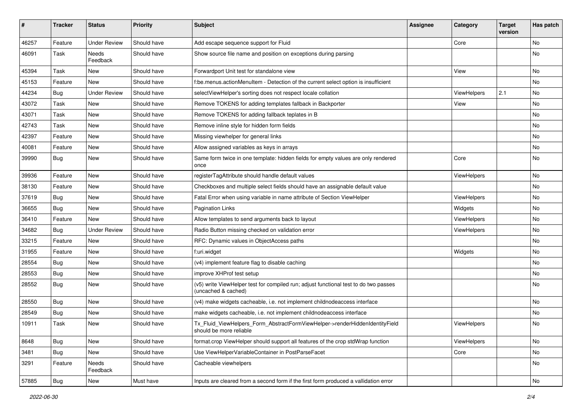| #     | <b>Tracker</b> | <b>Status</b>       | <b>Priority</b> | Subject                                                                                                     | <b>Assignee</b> | Category    | <b>Target</b><br>version | Has patch |
|-------|----------------|---------------------|-----------------|-------------------------------------------------------------------------------------------------------------|-----------------|-------------|--------------------------|-----------|
| 46257 | Feature        | <b>Under Review</b> | Should have     | Add escape sequence support for Fluid                                                                       |                 | Core        |                          | <b>No</b> |
| 46091 | Task           | Needs<br>Feedback   | Should have     | Show source file name and position on exceptions during parsing                                             |                 |             |                          | No        |
| 45394 | Task           | New                 | Should have     | Forwardport Unit test for standalone view                                                                   |                 | View        |                          | No        |
| 45153 | Feature        | <b>New</b>          | Should have     | f:be.menus.actionMenuItem - Detection of the current select option is insufficient                          |                 |             |                          | No        |
| 44234 | Bug            | <b>Under Review</b> | Should have     | selectViewHelper's sorting does not respect locale collation                                                |                 | ViewHelpers | 2.1                      | No        |
| 43072 | Task           | New                 | Should have     | Remove TOKENS for adding templates fallback in Backporter                                                   |                 | View        |                          | No        |
| 43071 | Task           | New                 | Should have     | Remove TOKENS for adding fallback teplates in B                                                             |                 |             |                          | No        |
| 42743 | Task           | New                 | Should have     | Remove inline style for hidden form fields                                                                  |                 |             |                          | No        |
| 42397 | Feature        | New                 | Should have     | Missing viewhelper for general links                                                                        |                 |             |                          | No        |
| 40081 | Feature        | New                 | Should have     | Allow assigned variables as keys in arrays                                                                  |                 |             |                          | No        |
| 39990 | Bug            | New                 | Should have     | Same form twice in one template: hidden fields for empty values are only rendered<br>once                   |                 | Core        |                          | No        |
| 39936 | Feature        | <b>New</b>          | Should have     | registerTagAttribute should handle default values                                                           |                 | ViewHelpers |                          | No        |
| 38130 | Feature        | New                 | Should have     | Checkboxes and multiple select fields should have an assignable default value                               |                 |             |                          | No        |
| 37619 | Bug            | New                 | Should have     | Fatal Error when using variable in name attribute of Section ViewHelper                                     |                 | ViewHelpers |                          | No        |
| 36655 | Bug            | <b>New</b>          | Should have     | <b>Pagination Links</b>                                                                                     |                 | Widgets     |                          | No        |
| 36410 | Feature        | <b>New</b>          | Should have     | Allow templates to send arguments back to layout                                                            |                 | ViewHelpers |                          | No        |
| 34682 | Bug            | <b>Under Review</b> | Should have     | Radio Button missing checked on validation error                                                            |                 | ViewHelpers |                          | <b>No</b> |
| 33215 | Feature        | New                 | Should have     | RFC: Dynamic values in ObjectAccess paths                                                                   |                 |             |                          | No        |
| 31955 | Feature        | New                 | Should have     | f:uri.widget                                                                                                |                 | Widgets     |                          | No        |
| 28554 | Bug            | New                 | Should have     | (v4) implement feature flag to disable caching                                                              |                 |             |                          | No        |
| 28553 | Bug            | New                 | Should have     | improve XHProf test setup                                                                                   |                 |             |                          | No        |
| 28552 | Bug            | New                 | Should have     | (v5) write ViewHelper test for compiled run; adjust functional test to do two passes<br>(uncached & cached) |                 |             |                          | No        |
| 28550 | Bug            | New                 | Should have     | (v4) make widgets cacheable, i.e. not implement childnodeaccess interface                                   |                 |             |                          | No        |
| 28549 | Bug            | New                 | Should have     | make widgets cacheable, i.e. not implement childnodeaccess interface                                        |                 |             |                          | No        |
| 10911 | Task           | New                 | Should have     | Tx_Fluid_ViewHelpers_Form_AbstractFormViewHelper->renderHiddenIdentityField<br>should be more reliable      |                 | ViewHelpers |                          | No        |
| 8648  | Bug            | New                 | Should have     | format.crop ViewHelper should support all features of the crop stdWrap function                             |                 | ViewHelpers |                          | No        |
| 3481  | Bug            | New                 | Should have     | Use ViewHelperVariableContainer in PostParseFacet                                                           |                 | Core        |                          | No        |
| 3291  | Feature        | Needs<br>Feedback   | Should have     | Cacheable viewhelpers                                                                                       |                 |             |                          | No        |
| 57885 | Bug            | New                 | Must have       | Inputs are cleared from a second form if the first form produced a vallidation error                        |                 |             |                          | No        |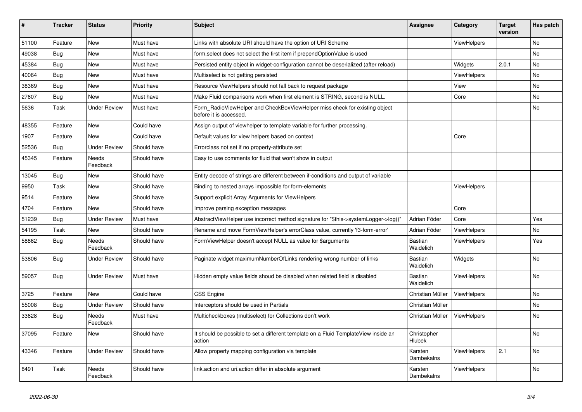| ∦     | <b>Tracker</b> | <b>Status</b>            | <b>Priority</b> | <b>Subject</b>                                                                                       | <b>Assignee</b>             | Category           | <b>Target</b><br>version | Has patch |
|-------|----------------|--------------------------|-----------------|------------------------------------------------------------------------------------------------------|-----------------------------|--------------------|--------------------------|-----------|
| 51100 | Feature        | <b>New</b>               | Must have       | Links with absolute URI should have the option of URI Scheme                                         |                             | ViewHelpers        |                          | No        |
| 49038 | Bug            | New                      | Must have       | form select does not select the first item if prependOptionValue is used                             |                             |                    |                          | No        |
| 45384 | Bug            | <b>New</b>               | Must have       | Persisted entity object in widget-configuration cannot be deserialized (after reload)                |                             | Widgets            | 2.0.1                    | No.       |
| 40064 | <b>Bug</b>     | <b>New</b>               | Must have       | Multiselect is not getting persisted                                                                 |                             | <b>ViewHelpers</b> |                          | <b>No</b> |
| 38369 | <b>Bug</b>     | New                      | Must have       | Resource ViewHelpers should not fall back to request package                                         |                             | View               |                          | <b>No</b> |
| 27607 | <b>Bug</b>     | <b>New</b>               | Must have       | Make Fluid comparisons work when first element is STRING, second is NULL.                            |                             | Core               |                          | No        |
| 5636  | Task           | <b>Under Review</b>      | Must have       | Form RadioViewHelper and CheckBoxViewHelper miss check for existing object<br>before it is accessed. |                             |                    |                          | No        |
| 48355 | Feature        | <b>New</b>               | Could have      | Assign output of viewhelper to template variable for further processing.                             |                             |                    |                          |           |
| 1907  | Feature        | <b>New</b>               | Could have      | Default values for view helpers based on context                                                     |                             | Core               |                          |           |
| 52536 | Bug            | <b>Under Review</b>      | Should have     | Errorclass not set if no property-attribute set                                                      |                             |                    |                          |           |
| 45345 | Feature        | <b>Needs</b><br>Feedback | Should have     | Easy to use comments for fluid that won't show in output                                             |                             |                    |                          |           |
| 13045 | Bug            | <b>New</b>               | Should have     | Entity decode of strings are different between if-conditions and output of variable                  |                             |                    |                          |           |
| 9950  | Task           | New                      | Should have     | Binding to nested arrays impossible for form-elements                                                |                             | ViewHelpers        |                          |           |
| 9514  | Feature        | New                      | Should have     | Support explicit Array Arguments for ViewHelpers                                                     |                             |                    |                          |           |
| 4704  | Feature        | New                      | Should have     | Improve parsing exception messages                                                                   |                             | Core               |                          |           |
| 51239 | Bug            | <b>Under Review</b>      | Must have       | AbstractViewHelper use incorrect method signature for "\$this->systemLogger->log()"                  | Adrian Föder                | Core               |                          | Yes       |
| 54195 | Task           | <b>New</b>               | Should have     | Rename and move FormViewHelper's errorClass value, currently 'f3-form-error'                         | Adrian Föder                | <b>ViewHelpers</b> |                          | No.       |
| 58862 | Bug            | <b>Needs</b><br>Feedback | Should have     | FormViewHelper doesn't accept NULL as value for \$arguments                                          | Bastian<br>Waidelich        | <b>ViewHelpers</b> |                          | Yes       |
| 53806 | Bug            | <b>Under Review</b>      | Should have     | Paginate widget maximumNumberOfLinks rendering wrong number of links                                 | <b>Bastian</b><br>Waidelich | Widgets            |                          | No        |
| 59057 | Bug            | <b>Under Review</b>      | Must have       | Hidden empty value fields shoud be disabled when related field is disabled                           | Bastian<br>Waidelich        | ViewHelpers        |                          | <b>No</b> |
| 3725  | Feature        | <b>New</b>               | Could have      | <b>CSS Engine</b>                                                                                    | Christian Müller            | ViewHelpers        |                          | No        |
| 55008 | Bug            | <b>Under Review</b>      | Should have     | Interceptors should be used in Partials                                                              | Christian Müller            |                    |                          | No        |
| 33628 | Bug            | <b>Needs</b><br>Feedback | Must have       | Multicheckboxes (multiselect) for Collections don't work                                             | Christian Müller            | ViewHelpers        |                          | No        |
| 37095 | Feature        | New                      | Should have     | It should be possible to set a different template on a Fluid TemplateView inside an<br>action        | Christopher<br>Hlubek       |                    |                          | No        |
| 43346 | Feature        | <b>Under Review</b>      | Should have     | Allow property mapping configuration via template                                                    | Karsten<br>Dambekalns       | <b>ViewHelpers</b> | 2.1                      | No        |
| 8491  | Task           | <b>Needs</b><br>Feedback | Should have     | link.action and uri.action differ in absolute argument                                               | Karsten<br>Dambekalns       | ViewHelpers        |                          | No        |